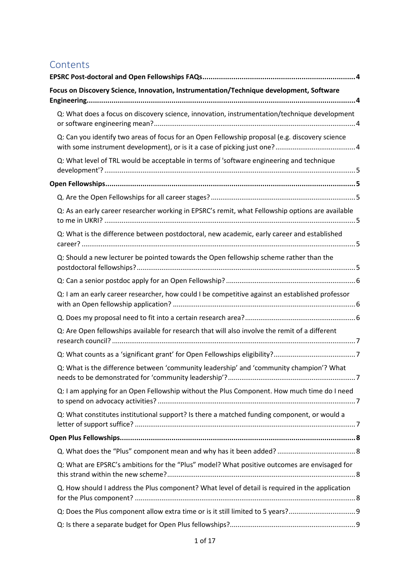# Contents

| Focus on Discovery Science, Innovation, Instrumentation/Technique development, Software          |  |
|--------------------------------------------------------------------------------------------------|--|
| Q: What does a focus on discovery science, innovation, instrumentation/technique development     |  |
| Q: Can you identify two areas of focus for an Open Fellowship proposal (e.g. discovery science   |  |
| Q: What level of TRL would be acceptable in terms of 'software engineering and technique         |  |
|                                                                                                  |  |
|                                                                                                  |  |
| Q: As an early career researcher working in EPSRC's remit, what Fellowship options are available |  |
| Q: What is the difference between postdoctoral, new academic, early career and established       |  |
| Q: Should a new lecturer be pointed towards the Open fellowship scheme rather than the           |  |
|                                                                                                  |  |
| Q: I am an early career researcher, how could I be competitive against an established professor  |  |
|                                                                                                  |  |
| Q: Are Open fellowships available for research that will also involve the remit of a different   |  |
|                                                                                                  |  |
| Q: What is the difference between 'community leadership' and 'community champion'? What          |  |
| Q: I am applying for an Open Fellowship without the Plus Component. How much time do I need      |  |
| Q: What constitutes institutional support? Is there a matched funding component, or would a      |  |
|                                                                                                  |  |
|                                                                                                  |  |
| Q: What are EPSRC's ambitions for the "Plus" model? What positive outcomes are envisaged for     |  |
| Q. How should I address the Plus component? What level of detail is required in the application  |  |
|                                                                                                  |  |
|                                                                                                  |  |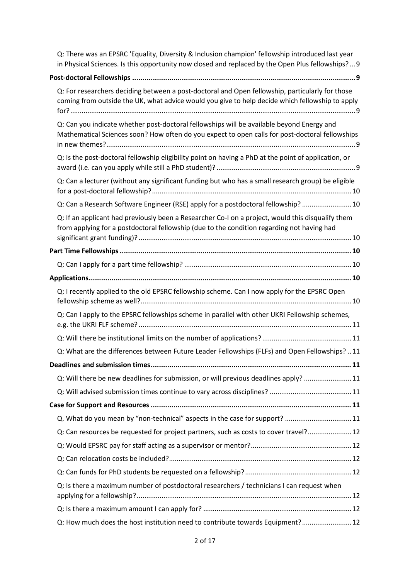| Q: There was an EPSRC 'Equality, Diversity & Inclusion champion' fellowship introduced last year<br>in Physical Sciences. Is this opportunity now closed and replaced by the Open Plus fellowships?9 |  |
|------------------------------------------------------------------------------------------------------------------------------------------------------------------------------------------------------|--|
|                                                                                                                                                                                                      |  |
| Q: For researchers deciding between a post-doctoral and Open fellowship, particularly for those<br>coming from outside the UK, what advice would you give to help decide which fellowship to apply   |  |
| Q: Can you indicate whether post-doctoral fellowships will be available beyond Energy and<br>Mathematical Sciences soon? How often do you expect to open calls for post-doctoral fellowships         |  |
| Q: Is the post-doctoral fellowship eligibility point on having a PhD at the point of application, or                                                                                                 |  |
| Q: Can a lecturer (without any significant funding but who has a small research group) be eligible                                                                                                   |  |
| Q: Can a Research Software Engineer (RSE) apply for a postdoctoral fellowship?  10                                                                                                                   |  |
| Q: If an applicant had previously been a Researcher Co-I on a project, would this disqualify them<br>from applying for a postdoctoral fellowship (due to the condition regarding not having had      |  |
|                                                                                                                                                                                                      |  |
|                                                                                                                                                                                                      |  |
|                                                                                                                                                                                                      |  |
| Q: I recently applied to the old EPSRC fellowship scheme. Can I now apply for the EPSRC Open                                                                                                         |  |
| Q: Can I apply to the EPSRC fellowships scheme in parallel with other UKRI Fellowship schemes,                                                                                                       |  |
|                                                                                                                                                                                                      |  |
| Q: What are the differences between Future Leader Fellowships (FLFs) and Open Fellowships?  11                                                                                                       |  |
|                                                                                                                                                                                                      |  |
| Q: Will there be new deadlines for submission, or will previous deadlines apply? 11                                                                                                                  |  |
|                                                                                                                                                                                                      |  |
|                                                                                                                                                                                                      |  |
| Q. What do you mean by "non-technical" aspects in the case for support? 11                                                                                                                           |  |
| Q: Can resources be requested for project partners, such as costs to cover travel? 12                                                                                                                |  |
|                                                                                                                                                                                                      |  |
|                                                                                                                                                                                                      |  |
|                                                                                                                                                                                                      |  |
| Q: Is there a maximum number of postdoctoral researchers / technicians I can request when                                                                                                            |  |
|                                                                                                                                                                                                      |  |
| Q: How much does the host institution need to contribute towards Equipment? 12                                                                                                                       |  |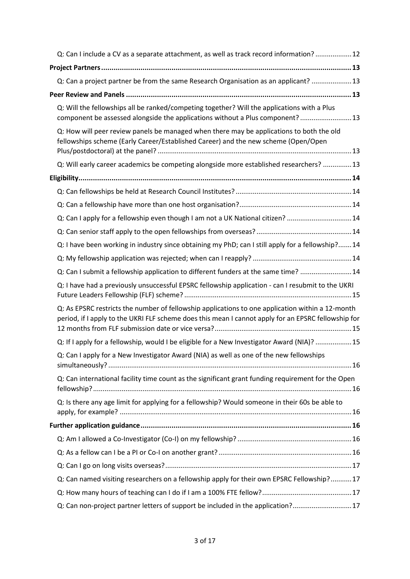| Q: Can I include a CV as a separate attachment, as well as track record information?  12                                                                                                                |  |
|---------------------------------------------------------------------------------------------------------------------------------------------------------------------------------------------------------|--|
|                                                                                                                                                                                                         |  |
| Q: Can a project partner be from the same Research Organisation as an applicant?  13                                                                                                                    |  |
|                                                                                                                                                                                                         |  |
| Q: Will the fellowships all be ranked/competing together? Will the applications with a Plus<br>component be assessed alongside the applications without a Plus component? 13                            |  |
| Q: How will peer review panels be managed when there may be applications to both the old<br>fellowships scheme (Early Career/Established Career) and the new scheme (Open/Open                          |  |
| Q: Will early career academics be competing alongside more established researchers?  13                                                                                                                 |  |
|                                                                                                                                                                                                         |  |
|                                                                                                                                                                                                         |  |
|                                                                                                                                                                                                         |  |
| Q: Can I apply for a fellowship even though I am not a UK National citizen? 14                                                                                                                          |  |
|                                                                                                                                                                                                         |  |
| Q: I have been working in industry since obtaining my PhD; can I still apply for a fellowship? 14                                                                                                       |  |
|                                                                                                                                                                                                         |  |
| Q: Can I submit a fellowship application to different funders at the same time?  14                                                                                                                     |  |
| Q: I have had a previously unsuccessful EPSRC fellowship application - can I resubmit to the UKRI                                                                                                       |  |
| Q: As EPSRC restricts the number of fellowship applications to one application within a 12-month<br>period, if I apply to the UKRI FLF scheme does this mean I cannot apply for an EPSRC fellowship for |  |
| Q: If I apply for a fellowship, would I be eligible for a New Investigator Award (NIA)?  15                                                                                                             |  |
| Q: Can I apply for a New Investigator Award (NIA) as well as one of the new fellowships                                                                                                                 |  |
| Q: Can international facility time count as the significant grant funding requirement for the Open                                                                                                      |  |
| Q: Is there any age limit for applying for a fellowship? Would someone in their 60s be able to                                                                                                          |  |
|                                                                                                                                                                                                         |  |
|                                                                                                                                                                                                         |  |
|                                                                                                                                                                                                         |  |
|                                                                                                                                                                                                         |  |
| Q: Can named visiting researchers on a fellowship apply for their own EPSRC Fellowship?17                                                                                                               |  |
|                                                                                                                                                                                                         |  |
| Q: Can non-project partner letters of support be included in the application?17                                                                                                                         |  |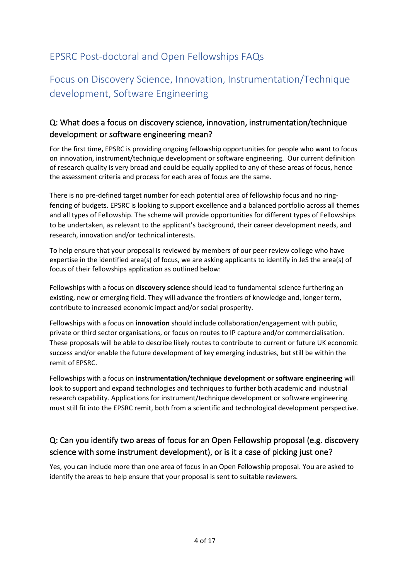# <span id="page-3-0"></span>EPSRC Post-doctoral and Open Fellowships FAQs

# <span id="page-3-1"></span>Focus on Discovery Science, Innovation, Instrumentation/Technique development, Software Engineering

### <span id="page-3-2"></span>Q: What does a focus on discovery science, innovation, instrumentation/technique development or software engineering mean?

For the first time**,** EPSRC is providing ongoing fellowship opportunities for people who want to focus on innovation, instrument/technique development or software engineering. Our current definition of research quality is very broad and could be equally applied to any of these areas of focus, hence the assessment criteria and process for each area of focus are the same.

There is no pre-defined target number for each potential area of fellowship focus and no ringfencing of budgets. EPSRC is looking to support excellence and a balanced portfolio across all themes and all types of Fellowship. The scheme will provide opportunities for different types of Fellowships to be undertaken, as relevant to the applicant's background, their career development needs, and research, innovation and/or technical interests.

To help ensure that your proposal is reviewed by members of our peer review college who have expertise in the identified area(s) of focus, we are asking applicants to identify in JeS the area(s) of focus of their fellowships application as outlined below:

Fellowships with a focus on **discovery science** should lead to fundamental science furthering an existing, new or emerging field. They will advance the frontiers of knowledge and, longer term, contribute to increased economic impact and/or social prosperity.

Fellowships with a focus on **innovation** should include collaboration/engagement with public, private or third sector organisations, or focus on routes to IP capture and/or commercialisation. These proposals will be able to describe likely routes to contribute to current or future UK economic success and/or enable the future development of key emerging industries, but still be within the remit of EPSRC.

Fellowships with a focus on **instrumentation/technique development or software engineering** will look to support and expand technologies and techniques to further both academic and industrial research capability. Applications for instrument/technique development or software engineering must still fit into the EPSRC remit, both from a scientific and technological development perspective.

# <span id="page-3-3"></span>Q: Can you identify two areas of focus for an Open Fellowship proposal (e.g. discovery science with some instrument development), or is it a case of picking just one?

Yes, you can include more than one area of focus in an Open Fellowship proposal. You are asked to identify the areas to help ensure that your proposal is sent to suitable reviewers.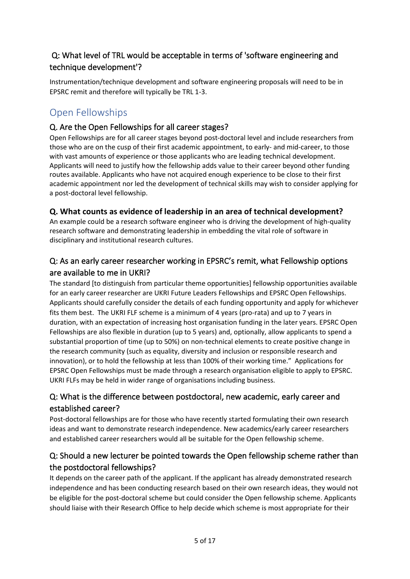## <span id="page-4-0"></span> Q: What level of TRL would be acceptable in terms of 'software engineering and technique development'?

Instrumentation/technique development and software engineering proposals will need to be in EPSRC remit and therefore will typically be TRL 1-3.

# <span id="page-4-1"></span>Open Fellowships

### <span id="page-4-2"></span>Q. Are the Open Fellowships for all career stages?

Open Fellowships are for all career stages beyond post-doctoral level and include researchers from those who are on the cusp of their first academic appointment, to early- and mid-career, to those with vast amounts of experience or those applicants who are leading technical development. Applicants will need to justify how the fellowship adds value to their career beyond other funding routes available. Applicants who have not acquired enough experience to be close to their first academic appointment nor led the development of technical skills may wish to consider applying for a post-doctoral level fellowship.

#### **Q. What counts as evidence of leadership in an area of technical development?**

An example could be a research software engineer who is driving the development of high-quality research software and demonstrating leadership in embedding the vital role of software in disciplinary and institutional research cultures.

### <span id="page-4-3"></span>Q: As an early career researcher working in EPSRC's remit, what Fellowship options are available to me in UKRI?

The standard [to distinguish from particular theme opportunities] fellowship opportunities available for an early career researcher are UKRI Future Leaders Fellowships and EPSRC Open Fellowships. Applicants should carefully consider the details of each funding opportunity and apply for whichever fits them best. The UKRI FLF scheme is a minimum of 4 years (pro-rata) and up to 7 years in duration, with an expectation of increasing host organisation funding in the later years. EPSRC Open Fellowships are also flexible in duration (up to 5 years) and, optionally, allow applicants to spend a substantial proportion of time (up to 50%) on non-technical elements to create positive change in the research community (such as equality, diversity and inclusion or responsible research and innovation), or to hold the fellowship at less than 100% of their working time." Applications for EPSRC Open Fellowships must be made through a research organisation eligible to apply to EPSRC. UKRI FLFs may be held in wider range of organisations including business.

# <span id="page-4-4"></span>Q: What is the difference between postdoctoral, new academic, early career and established career?

Post-doctoral fellowships are for those who have recently started formulating their own research ideas and want to demonstrate research independence. New academics/early career researchers and established career researchers would all be suitable for the Open fellowship scheme.

# <span id="page-4-5"></span>Q: Should a new lecturer be pointed towards the Open fellowship scheme rather than the postdoctoral fellowships?

It depends on the career path of the applicant. If the applicant has already demonstrated research independence and has been conducting research based on their own research ideas, they would not be eligible for the post-doctoral scheme but could consider the Open fellowship scheme. Applicants should liaise with their Research Office to help decide which scheme is most appropriate for their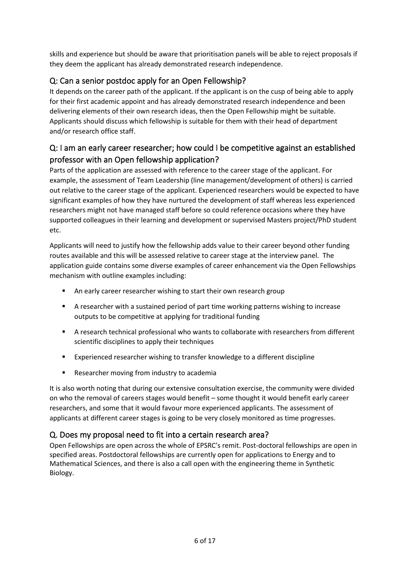skills and experience but should be aware that prioritisation panels will be able to reject proposals if they deem the applicant has already demonstrated research independence.

# <span id="page-5-0"></span>Q: Can a senior postdoc apply for an Open Fellowship?

It depends on the career path of the applicant. If the applicant is on the cusp of being able to apply for their first academic appoint and has already demonstrated research independence and been delivering elements of their own research ideas, then the Open Fellowship might be suitable. Applicants should discuss which fellowship is suitable for them with their head of department and/or research office staff.

# <span id="page-5-1"></span>Q: I am an early career researcher; how could I be competitive against an established professor with an Open fellowship application?

Parts of the application are assessed with reference to the career stage of the applicant. For example, the assessment of Team Leadership (line management/development of others) is carried out relative to the career stage of the applicant. Experienced researchers would be expected to have significant examples of how they have nurtured the development of staff whereas less experienced researchers might not have managed staff before so could reference occasions where they have supported colleagues in their learning and development or supervised Masters project/PhD student etc.

Applicants will need to justify how the fellowship adds value to their career beyond other funding routes available and this will be assessed relative to career stage at the interview panel. The application guide contains some diverse examples of career enhancement via the Open Fellowships mechanism with outline examples including:

- **An early career researcher wishing to start their own research group**
- A researcher with a sustained period of part time working patterns wishing to increase outputs to be competitive at applying for traditional funding
- A research technical professional who wants to collaborate with researchers from different scientific disciplines to apply their techniques
- Experienced researcher wishing to transfer knowledge to a different discipline
- **Researcher moving from industry to academia**

It is also worth noting that during our extensive consultation exercise, the community were divided on who the removal of careers stages would benefit – some thought it would benefit early career researchers, and some that it would favour more experienced applicants. The assessment of applicants at different career stages is going to be very closely monitored as time progresses.

### <span id="page-5-2"></span>Q. Does my proposal need to fit into a certain research area?

Open Fellowships are open across the whole of EPSRC's remit. Post-doctoral fellowships are open in specified areas. Postdoctoral fellowships are currently open for applications to Energy and to Mathematical Sciences, and there is also a call open with the engineering theme in Synthetic Biology.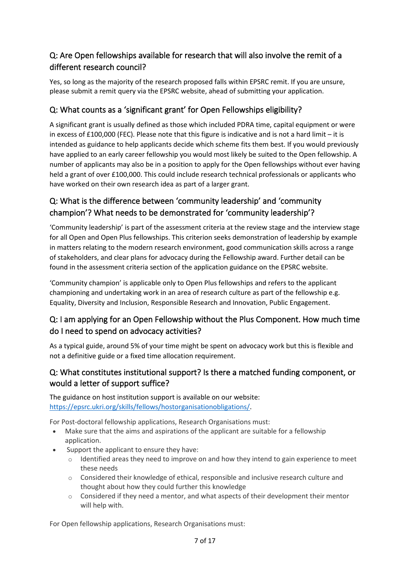# <span id="page-6-0"></span>Q: Are Open fellowships available for research that will also involve the remit of a different research council?

Yes, so long as the majority of the research proposed falls within EPSRC remit. If you are unsure, please submit a remit query via the EPSRC website, ahead of submitting your application.

# <span id="page-6-1"></span>Q: What counts as a 'significant grant' for Open Fellowships eligibility?

A significant grant is usually defined as those which included PDRA time, capital equipment or were in excess of £100,000 (FEC). Please note that this figure is indicative and is not a hard limit – it is intended as guidance to help applicants decide which scheme fits them best. If you would previously have applied to an early career fellowship you would most likely be suited to the Open fellowship. A number of applicants may also be in a position to apply for the Open fellowships without ever having held a grant of over £100,000. This could include research technical professionals or applicants who have worked on their own research idea as part of a larger grant.

# <span id="page-6-2"></span>Q: What is the difference between 'community leadership' and 'community champion'? What needs to be demonstrated for 'community leadership'?

'Community leadership' is part of the assessment criteria at the review stage and the interview stage for all Open and Open Plus fellowships. This criterion seeks demonstration of leadership by example in matters relating to the modern research environment, good communication skills across a range of stakeholders, and clear plans for advocacy during the Fellowship award. Further detail can be found in the assessment criteria section of the application guidance on the EPSRC website.

'Community champion' is applicable only to Open Plus fellowships and refers to the applicant championing and undertaking work in an area of research culture as part of the fellowship e.g. Equality, Diversity and Inclusion, Responsible Research and Innovation, Public Engagement.

# <span id="page-6-3"></span>Q: I am applying for an Open Fellowship without the Plus Component. How much time do I need to spend on advocacy activities?

As a typical guide, around 5% of your time might be spent on advocacy work but this is flexible and not a definitive guide or a fixed time allocation requirement.

### <span id="page-6-4"></span>Q: What constitutes institutional support? Is there a matched funding component, or would a letter of support suffice?

The guidance on host institution support is available on our website: [https://epsrc.ukri.org/skills/fellows/hostorganisationobligations/.](https://epsrc.ukri.org/skills/fellows/hostorganisationobligations/)

For Post-doctoral fellowship applications, Research Organisations must:

- Make sure that the aims and aspirations of the applicant are suitable for a fellowship application.
- Support the applicant to ensure they have:
	- $\circ$  Identified areas they need to improve on and how they intend to gain experience to meet these needs
	- o Considered their knowledge of ethical, responsible and inclusive research culture and thought about how they could further this knowledge
	- $\circ$  Considered if they need a mentor, and what aspects of their development their mentor will help with.

For Open fellowship applications, Research Organisations must: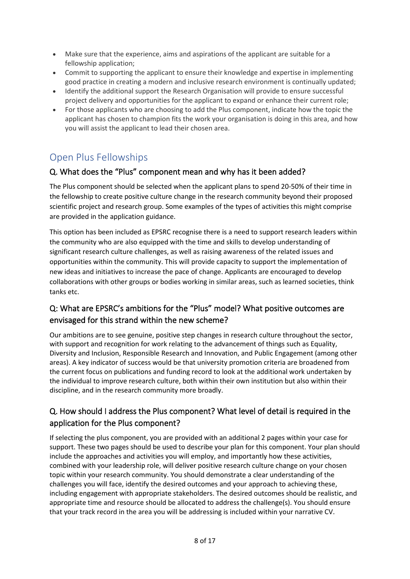- Make sure that the experience, aims and aspirations of the applicant are suitable for a fellowship application;
- Commit to supporting the applicant to ensure their knowledge and expertise in implementing good practice in creating a modern and inclusive research environment is continually updated;
- Identify the additional support the Research Organisation will provide to ensure successful project delivery and opportunities for the applicant to expand or enhance their current role;
- For those applicants who are choosing to add the Plus component, indicate how the topic the applicant has chosen to champion fits the work your organisation is doing in this area, and how you will assist the applicant to lead their chosen area.

# <span id="page-7-0"></span>Open Plus Fellowships

#### <span id="page-7-1"></span>Q. What does the "Plus" component mean and why has it been added?

The Plus component should be selected when the applicant plans to spend 20-50% of their time in the fellowship to create positive culture change in the research community beyond their proposed scientific project and research group. Some examples of the types of activities this might comprise are provided in the application guidance.

This option has been included as EPSRC recognise there is a need to support research leaders within the community who are also equipped with the time and skills to develop understanding of significant research culture challenges, as well as raising awareness of the related issues and opportunities within the community. This will provide capacity to support the implementation of new ideas and initiatives to increase the pace of change. Applicants are encouraged to develop collaborations with other groups or bodies working in similar areas, such as learned societies, think tanks etc.

### <span id="page-7-2"></span>Q: What are EPSRC's ambitions for the "Plus" model? What positive outcomes are envisaged for this strand within the new scheme?

Our ambitions are to see genuine, positive step changes in research culture throughout the sector, with support and recognition for work relating to the advancement of things such as Equality, Diversity and Inclusion, Responsible Research and Innovation, and Public Engagement (among other areas). A key indicator of success would be that university promotion criteria are broadened from the current focus on publications and funding record to look at the additional work undertaken by the individual to improve research culture, both within their own institution but also within their discipline, and in the research community more broadly.

# <span id="page-7-3"></span>Q. How should I address the Plus component? What level of detail is required in the application for the Plus component?

If selecting the plus component, you are provided with an additional 2 pages within your case for support. These two pages should be used to describe your plan for this component. Your plan should include the approaches and activities you will employ, and importantly how these activities, combined with your leadership role, will deliver positive research culture change on your chosen topic within your research community. You should demonstrate a clear understanding of the challenges you will face, identify the desired outcomes and your approach to achieving these, including engagement with appropriate stakeholders. The desired outcomes should be realistic, and appropriate time and resource should be allocated to address the challenge(s). You should ensure that your track record in the area you will be addressing is included within your narrative CV.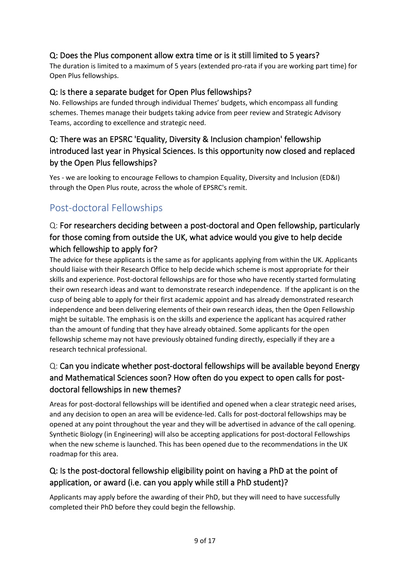## <span id="page-8-0"></span>Q: Does the Plus component allow extra time or is it still limited to 5 years?

The duration is limited to a maximum of 5 years (extended pro-rata if you are working part time) for Open Plus fellowships.

#### <span id="page-8-1"></span>Q: Is there a separate budget for Open Plus fellowships?

No. Fellowships are funded through individual Themes' budgets, which encompass all funding schemes. Themes manage their budgets taking advice from peer review and Strategic Advisory Teams, according to excellence and strategic need.

# <span id="page-8-2"></span>Q: There was an EPSRC 'Equality, Diversity & Inclusion champion' fellowship introduced last year in Physical Sciences. Is this opportunity now closed and replaced by the Open Plus fellowships?

Yes - we are looking to encourage Fellows to champion Equality, Diversity and Inclusion (ED&I) through the Open Plus route, across the whole of EPSRC's remit.

# <span id="page-8-3"></span>Post-doctoral Fellowships

# <span id="page-8-4"></span>Q: For researchers deciding between a post-doctoral and Open fellowship, particularly for those coming from outside the UK, what advice would you give to help decide which fellowship to apply for?

The advice for these applicants is the same as for applicants applying from within the UK. Applicants should liaise with their Research Office to help decide which scheme is most appropriate for their skills and experience. Post-doctoral fellowships are for those who have recently started formulating their own research ideas and want to demonstrate research independence. If the applicant is on the cusp of being able to apply for their first academic appoint and has already demonstrated research independence and been delivering elements of their own research ideas, then the Open Fellowship might be suitable. The emphasis is on the skills and experience the applicant has acquired rather than the amount of funding that they have already obtained. Some applicants for the open fellowship scheme may not have previously obtained funding directly, especially if they are a research technical professional.

# <span id="page-8-5"></span>Q: Can you indicate whether post-doctoral fellowships will be available beyond Energy and Mathematical Sciences soon? How often do you expect to open calls for postdoctoral fellowships in new themes?

Areas for post-doctoral fellowships will be identified and opened when a clear strategic need arises, and any decision to open an area will be evidence-led. Calls for post-doctoral fellowships may be opened at any point throughout the year and they will be advertised in advance of the call opening. Synthetic Biology (in Engineering) will also be accepting applications for post-doctoral Fellowships when the new scheme is launched. This has been opened due to the recommendations in the UK roadmap for this area.

# <span id="page-8-6"></span>Q: Is the post-doctoral fellowship eligibility point on having a PhD at the point of application, or award (i.e. can you apply while still a PhD student)?

Applicants may apply before the awarding of their PhD, but they will need to have successfully completed their PhD before they could begin the fellowship.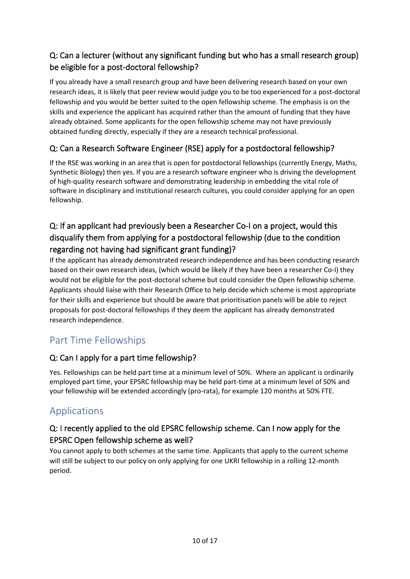# <span id="page-9-0"></span>Q: Can a lecturer (without any significant funding but who has a small research group) be eligible for a post-doctoral fellowship?

If you already have a small research group and have been delivering research based on your own research ideas, it is likely that peer review would judge you to be too experienced for a post-doctoral fellowship and you would be better suited to the open fellowship scheme. The emphasis is on the skills and experience the applicant has acquired rather than the amount of funding that they have already obtained. Some applicants for the open fellowship scheme may not have previously obtained funding directly, especially if they are a research technical professional.

## <span id="page-9-1"></span>Q: Can a Research Software Engineer (RSE) apply for a postdoctoral fellowship?

If the RSE was working in an area that is open for postdoctoral fellowships (currently Energy, Maths, Synthetic Biology) then yes. If you are a research software engineer who is driving the development of high-quality research software and demonstrating leadership in embedding the vital role of software in disciplinary and institutional research cultures, you could consider applying for an open fellowship.

# <span id="page-9-2"></span>Q: If an applicant had previously been a Researcher Co-I on a project, would this disqualify them from applying for a postdoctoral fellowship (due to the condition regarding not having had significant grant funding)?

If the applicant has already demonstrated research independence and has been conducting research based on their own research ideas, (which would be likely if they have been a researcher Co-I) they would not be eligible for the post-doctoral scheme but could consider the Open fellowship scheme. Applicants should liaise with their Research Office to help decide which scheme is most appropriate for their skills and experience but should be aware that prioritisation panels will be able to reject proposals for post-doctoral fellowships if they deem the applicant has already demonstrated research independence.

# <span id="page-9-3"></span>Part Time Fellowships

### <span id="page-9-4"></span>Q: Can I apply for a part time fellowship?

Yes. Fellowships can be held part time at a minimum level of 50%. Where an applicant is ordinarily employed part time, your EPSRC fellowship may be held part-time at a minimum level of 50% and your fellowship will be extended accordingly (pro-rata), for example 120 months at 50% FTE.

# <span id="page-9-5"></span>Applications

# <span id="page-9-6"></span>Q: I recently applied to the old EPSRC fellowship scheme. Can I now apply for the EPSRC Open fellowship scheme as well?

You cannot apply to both schemes at the same time. Applicants that apply to the current scheme will still be subject to our policy on only applying for one UKRI fellowship in a rolling 12-month period.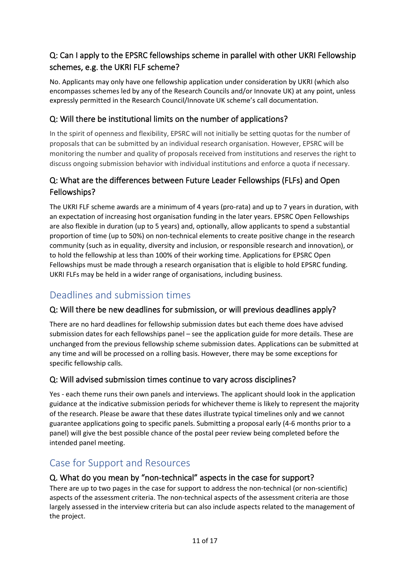# <span id="page-10-0"></span>Q: Can I apply to the EPSRC fellowships scheme in parallel with other UKRI Fellowship schemes, e.g. the UKRI FLF scheme?

No. Applicants may only have one fellowship application under consideration by UKRI (which also encompasses schemes led by any of the Research Councils and/or Innovate UK) at any point, unless expressly permitted in the Research Council/Innovate UK scheme's call documentation.

### <span id="page-10-1"></span>Q: Will there be institutional limits on the number of applications?

In the spirit of openness and flexibility, EPSRC will not initially be setting quotas for the number of proposals that can be submitted by an individual research organisation. However, EPSRC will be monitoring the number and quality of proposals received from institutions and reserves the right to discuss ongoing submission behavior with individual institutions and enforce a quota if necessary.

### <span id="page-10-2"></span>Q: What are the differences between Future Leader Fellowships (FLFs) and Open Fellowships?

The UKRI FLF scheme awards are a minimum of 4 years (pro-rata) and up to 7 years in duration, with an expectation of increasing host organisation funding in the later years. EPSRC Open Fellowships are also flexible in duration (up to 5 years) and, optionally, allow applicants to spend a substantial proportion of time (up to 50%) on non-technical elements to create positive change in the research community (such as in equality, diversity and inclusion, or responsible research and innovation), or to hold the fellowship at less than 100% of their working time. Applications for EPSRC Open Fellowships must be made through a research organisation that is eligible to hold EPSRC funding. UKRI FLFs may be held in a wider range of organisations, including business.

# <span id="page-10-3"></span>Deadlines and submission times

#### <span id="page-10-4"></span>Q: Will there be new deadlines for submission, or will previous deadlines apply?

There are no hard deadlines for fellowship submission dates but each theme does have advised submission dates for each fellowships panel – see the application guide for more details. These are unchanged from the previous fellowship scheme submission dates. Applications can be submitted at any time and will be processed on a rolling basis. However, there may be some exceptions for specific fellowship calls.

#### <span id="page-10-5"></span>Q: Will advised submission times continue to vary across disciplines?

Yes - each theme runs their own panels and interviews. The applicant should look in the application guidance at the indicative submission periods for whichever theme is likely to represent the majority of the research. Please be aware that these dates illustrate typical timelines only and we cannot guarantee applications going to specific panels. Submitting a proposal early (4-6 months prior to a panel) will give the best possible chance of the postal peer review being completed before the intended panel meeting.

# <span id="page-10-6"></span>Case for Support and Resources

#### <span id="page-10-7"></span>Q. What do you mean by "non-technical" aspects in the case for support?

There are up to two pages in the case for support to address the non-technical (or non-scientific) aspects of the assessment criteria. The non-technical aspects of the assessment criteria are those largely assessed in the interview criteria but can also include aspects related to the management of the project.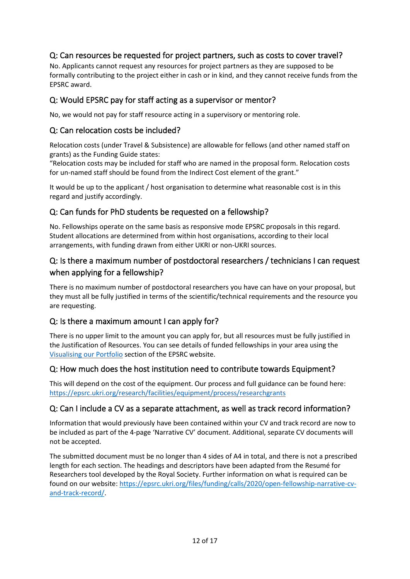### <span id="page-11-0"></span>Q: Can resources be requested for project partners, such as costs to cover travel?

No. Applicants cannot request any resources for project partners as they are supposed to be formally contributing to the project either in cash or in kind, and they cannot receive funds from the EPSRC award.

#### <span id="page-11-1"></span>Q: Would EPSRC pay for staff acting as a supervisor or mentor?

No, we would not pay for staff resource acting in a supervisory or mentoring role.

#### <span id="page-11-2"></span>Q: Can relocation costs be included?

Relocation costs (under Travel & Subsistence) are allowable for fellows (and other named staff on grants) as the Funding Guide states:

"Relocation costs may be included for staff who are named in the proposal form. Relocation costs for un-named staff should be found from the Indirect Cost element of the grant."

It would be up to the applicant / host organisation to determine what reasonable cost is in this regard and justify accordingly.

#### <span id="page-11-3"></span>Q: Can funds for PhD students be requested on a fellowship?

No. Fellowships operate on the same basis as responsive mode EPSRC proposals in this regard. Student allocations are determined from within host organisations, according to their local arrangements, with funding drawn from either UKRI or non-UKRI sources.

#### <span id="page-11-4"></span>Q: Is there a maximum number of postdoctoral researchers / technicians I can request when applying for a fellowship?

There is no maximum number of postdoctoral researchers you have can have on your proposal, but they must all be fully justified in terms of the scientific/technical requirements and the resource you are requesting.

#### <span id="page-11-5"></span>Q: Is there a maximum amount I can apply for?

There is no upper limit to the amount you can apply for, but all resources must be fully justified in the Justification of Resources. You can see details of funded fellowships in your area using the [Visualising our Portfolio](https://epsrc.ukri.org/research/ourportfolio/vop/) section of the EPSRC website.

#### <span id="page-11-6"></span>Q: How much does the host institution need to contribute towards Equipment?

This will depend on the cost of the equipment. Our process and full guidance can be found here: <https://epsrc.ukri.org/research/facilities/equipment/process/researchgrants>

#### <span id="page-11-7"></span>Q: Can I include a CV as a separate attachment, as well as track record information?

Information that would previously have been contained within your CV and track record are now to be included as part of the 4-page 'Narrative CV' document. Additional, separate CV documents will not be accepted.

The submitted document must be no longer than 4 sides of A4 in total, and there is not a prescribed length for each section. The headings and descriptors have been adapted from the Resumé for Researchers tool developed by the Royal Society. Further information on what is required can be found on our website[: https://epsrc.ukri.org/files/funding/calls/2020/open-fellowship-narrative-cv](https://epsrc.ukri.org/files/funding/calls/2020/open-fellowship-narrative-cv-and-track-record/)[and-track-record/.](https://epsrc.ukri.org/files/funding/calls/2020/open-fellowship-narrative-cv-and-track-record/)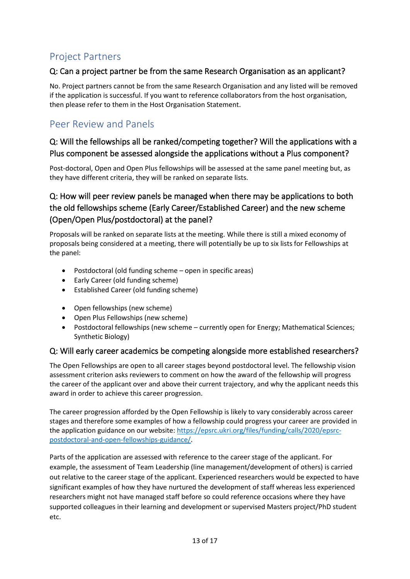# <span id="page-12-0"></span>Project Partners

### <span id="page-12-1"></span>Q: Can a project partner be from the same Research Organisation as an applicant?

No. Project partners cannot be from the same Research Organisation and any listed will be removed if the application is successful. If you want to reference collaborators from the host organisation, then please refer to them in the Host Organisation Statement.

# <span id="page-12-2"></span>Peer Review and Panels

### <span id="page-12-3"></span>Q: Will the fellowships all be ranked/competing together? Will the applications with a Plus component be assessed alongside the applications without a Plus component?

Post-doctoral, Open and Open Plus fellowships will be assessed at the same panel meeting but, as they have different criteria, they will be ranked on separate lists.

# <span id="page-12-4"></span>Q: How will peer review panels be managed when there may be applications to both the old fellowships scheme (Early Career/Established Career) and the new scheme (Open/Open Plus/postdoctoral) at the panel?

Proposals will be ranked on separate lists at the meeting. While there is still a mixed economy of proposals being considered at a meeting, there will potentially be up to six lists for Fellowships at the panel:

- Postdoctoral (old funding scheme open in specific areas)
- Early Career (old funding scheme)
- Established Career (old funding scheme)
- Open fellowships (new scheme)
- Open Plus Fellowships (new scheme)
- Postdoctoral fellowships (new scheme currently open for Energy; Mathematical Sciences; Synthetic Biology)

#### <span id="page-12-5"></span>Q: Will early career academics be competing alongside more established researchers?

The Open Fellowships are open to all career stages beyond postdoctoral level. The fellowship vision assessment criterion asks reviewers to comment on how the award of the fellowship will progress the career of the applicant over and above their current trajectory, and why the applicant needs this award in order to achieve this career progression.

The career progression afforded by the Open Fellowship is likely to vary considerably across career stages and therefore some examples of how a fellowship could progress your career are provided in the application guidance on our website: [https://epsrc.ukri.org/files/funding/calls/2020/epsrc](https://epsrc.ukri.org/files/funding/calls/2020/epsrc-postdoctoral-and-open-fellowships-guidance/)[postdoctoral-and-open-fellowships-guidance/.](https://epsrc.ukri.org/files/funding/calls/2020/epsrc-postdoctoral-and-open-fellowships-guidance/)

Parts of the application are assessed with reference to the career stage of the applicant. For example, the assessment of Team Leadership (line management/development of others) is carried out relative to the career stage of the applicant. Experienced researchers would be expected to have significant examples of how they have nurtured the development of staff whereas less experienced researchers might not have managed staff before so could reference occasions where they have supported colleagues in their learning and development or supervised Masters project/PhD student etc.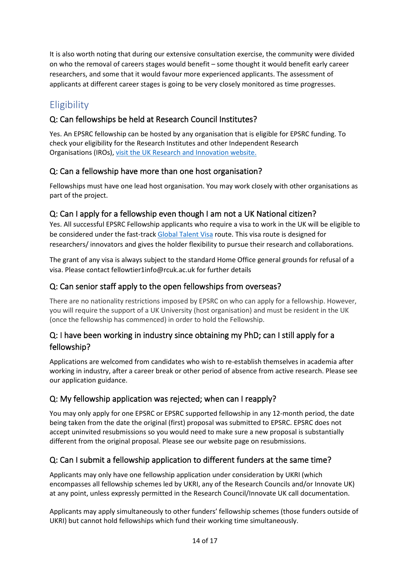It is also worth noting that during our extensive consultation exercise, the community were divided on who the removal of careers stages would benefit – some thought it would benefit early career researchers, and some that it would favour more experienced applicants. The assessment of applicants at different career stages is going to be very closely monitored as time progresses.

# <span id="page-13-0"></span>**Eligibility**

#### <span id="page-13-1"></span>Q: Can fellowships be held at Research Council Institutes?

Yes. An EPSRC fellowship can be hosted by any organisation that is eligible for EPSRC funding. To check your eligibility for th[e Research Institutes and other Independent Research](https://www.ukri.org/funding/how-to-apply/eligibility/)  [Organisations](https://www.ukri.org/funding/how-to-apply/eligibility/) (IROs), [visit the UK Research and Innovation website.](https://www.ukri.org/apply-for-funding/before-you-apply/check-if-you-are-eligible-for-research-and-innovation-funding/eligible-research-institutes/#contents-list)

#### <span id="page-13-2"></span>Q: Can a fellowship have more than one host organisation?

Fellowships must have one lead host organisation. You may work closely with other organisations as part of the project.

#### <span id="page-13-3"></span>Q: Can I apply for a fellowship even though I am not a UK National citizen?

Yes. All successful EPSRC Fellowship applicants who require a visa to work in the UK will be eligible to be considered under the fast-track [Global Talent Visa](https://www.ukri.org/our-work/collaborating-internationally/get-funding-and-visas-to-do-research-in-the-uk/) route. This visa route is designed for researchers/ innovators and gives the holder flexibility to pursue their research and collaborations.

The grant of any visa is always subject to the standard Home Office general grounds for refusal of a visa. Please contact fellowtier1info@rcuk.ac.uk for further details

#### <span id="page-13-4"></span>Q: Can senior staff apply to the open fellowships from overseas?

There are no nationality restrictions imposed by EPSRC on who can apply for a fellowship. However, you will require the support of a UK University (host organisation) and must be resident in the UK (once the fellowship has commenced) in order to hold the Fellowship.

### <span id="page-13-5"></span>Q: I have been working in industry since obtaining my PhD; can I still apply for a fellowship?

Applications are welcomed from candidates who wish to re-establish themselves in academia after working in industry, after a career break or other period of absence from active research. Please see our [application guidance.](https://epsrc.ukri.org/files/funding/calls/fellowship-application-guide/)

#### <span id="page-13-6"></span>Q: My fellowship application was rejected; when can I reapply?

You may only apply for one EPSRC or EPSRC supported fellowship in any 12-month period, the date being taken from the date the original (first) proposal was submitted to EPSRC. EPSRC does not accept uninvited resubmissions so you would need to make sure a new proposal is substantially different from the original proposal. Please se[e our website page on resubmissions.](https://epsrc.ukri.org/funding/applicationprocess/basics/resubpol/)

### <span id="page-13-7"></span>Q: Can I submit a fellowship application to different funders at the same time?

Applicants may only have one fellowship application under consideration by UKRI (which encompasses all fellowship schemes led by UKRI, any of the Research Councils and/or Innovate UK) at any point, unless expressly permitted in the Research Council/Innovate UK call documentation.

Applicants may apply simultaneously to other funders' fellowship schemes (those funders outside of UKRI) but cannot hold fellowships which fund their working time simultaneously.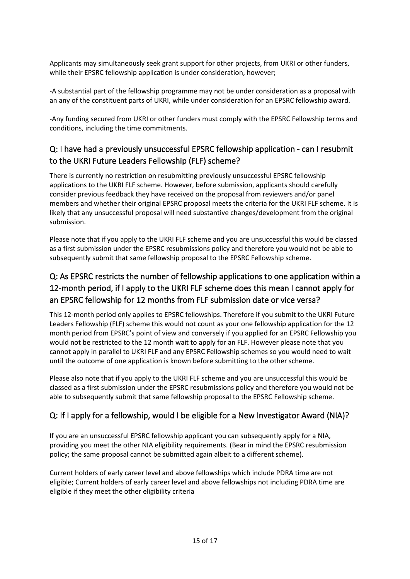Applicants may simultaneously seek grant support for other projects, from UKRI or other funders, while their EPSRC fellowship application is under consideration, however;

-A substantial part of the fellowship programme may not be under consideration as a proposal with an any of the constituent parts of UKRI, while under consideration for an EPSRC fellowship award.

-Any funding secured from UKRI or other funders must comply with the EPSRC Fellowship terms and conditions, including the time commitments.

# <span id="page-14-0"></span>Q: I have had a previously unsuccessful EPSRC fellowship application - can I resubmit to the UKRI Future Leaders Fellowship (FLF) scheme?

There is currently no restriction on resubmitting previously unsuccessful EPSRC fellowship applications to the UKRI FLF scheme. However, before submission, applicants should carefully consider previous feedback they have received on the proposal from reviewers and/or panel members and whether their original EPSRC proposal meets the criteria for the UKRI FLF scheme. It is likely that any unsuccessful proposal will need substantive changes/development from the original submission.

Please note that if you apply to the UKRI FLF scheme and you are unsuccessful this would be classed as a first submission under the EPSR[C resubmissions policy](https://epsrc.ukri.org/index.cfm/funding/applicationprocess/preparing/preparingnewproposals/) and therefore you would not be able to subsequently submit that same fellowship proposal to the EPSRC Fellowship scheme.

# <span id="page-14-1"></span>Q: As EPSRC restricts the number of fellowship applications to one application within a 12-month period, if I apply to the UKRI FLF scheme does this mean I cannot apply for an EPSRC fellowship for 12 months from FLF submission date or vice versa?

This 12-month period only applies to EPSRC fellowships. Therefore if you submit to the UKRI Future Leaders Fellowship (FLF) scheme this would not count as your one fellowship application for the 12 month period from EPSRC's point of view and conversely if you applied for an EPSRC Fellowship you would not be restricted to the 12 month wait to apply for an FLF. However please note that you cannot apply in parallel to UKRI FLF and any EPSRC Fellowship schemes so you would need to wait until the outcome of one application is known before submitting to the other scheme.

Please also note that if you apply to the UKRI FLF scheme and you are unsuccessful this would be classed as a first submission under the EPSRC [resubmissions policy](https://epsrc.ukri.org/index.cfm/funding/applicationprocess/preparing/preparingnewproposals/) and therefore you would not be able to subsequently submit that same fellowship proposal to the EPSRC Fellowship scheme.

### <span id="page-14-2"></span>Q: If I apply for a fellowship, would I be eligible for a New Investigator Award (NIA)?

If you are an unsuccessful EPSRC fellowship applicant you can subsequently apply for a NIA, providing you meet the other NIA eligibility requirements. (Bear in mind the EPSRC resubmission policy; the same proposal cannot be submitted again albeit to a different scheme).

Current holders of early career level and above fellowships which include PDRA time are not eligible; Current holders of early career level and above fellowships not including PDRA time are eligible if they meet the othe[r eligibility criteria](https://epsrc.ukri.org/funding/applicationprocess/routes/newac/nia/eligibility/)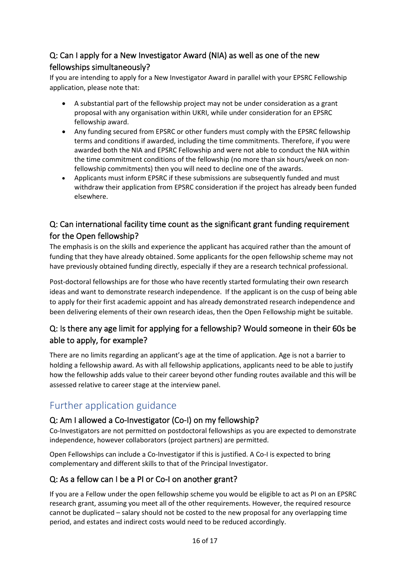# <span id="page-15-0"></span>Q: Can I apply for a New Investigator Award (NIA) as well as one of the new fellowships simultaneously?

If you are intending to apply for a New Investigator Award in parallel with your EPSRC Fellowship application, please note that:

- A substantial part of the fellowship project may not be under consideration as a grant proposal with any organisation within UKRI, while under consideration for an EPSRC fellowship award.
- Any funding secured from EPSRC or other funders must comply with the EPSRC fellowship terms and conditions if awarded, including the time commitments. Therefore, if you were awarded both the NIA and EPSRC Fellowship and were not able to conduct the NIA within the time commitment conditions of the fellowship (no more than six hours/week on nonfellowship commitments) then you will need to decline one of the awards.
- Applicants must inform EPSRC if these submissions are subsequently funded and must withdraw their application from EPSRC consideration if the project has already been funded elsewhere.

### <span id="page-15-1"></span>Q: Can international facility time count as the significant grant funding requirement for the Open fellowship?

The emphasis is on the skills and experience the applicant has acquired rather than the amount of funding that they have already obtained. Some applicants for the open fellowship scheme may not have previously obtained funding directly, especially if they are a research technical professional.

Post-doctoral fellowships are for those who have recently started formulating their own research ideas and want to demonstrate research independence. If the applicant is on the cusp of being able to apply for their first academic appoint and has already demonstrated research independence and been delivering elements of their own research ideas, then the Open Fellowship might be suitable.

# <span id="page-15-2"></span>Q: Is there any age limit for applying for a fellowship? Would someone in their 60s be able to apply, for example?

There are no limits regarding an applicant's age at the time of application. Age is not a barrier to holding a fellowship award. As with all fellowship applications, applicants need to be able to justify how the fellowship adds value to their career beyond other funding routes available and this will be assessed relative to career stage at the interview panel.

# <span id="page-15-3"></span>Further application guidance

#### <span id="page-15-4"></span>Q: Am I allowed a Co-Investigator (Co-I) on my fellowship?

Co-Investigators are not permitted on postdoctoral fellowships as you are expected to demonstrate independence, however collaborators (project partners) are permitted.

Open Fellowships can include a Co-Investigator if this is justified. A Co-I is expected to bring complementary and different skills to that of the Principal Investigator.

### <span id="page-15-5"></span>Q: As a fellow can I be a PI or Co-I on another grant?

If you are a Fellow under the open fellowship scheme you would be eligible to act as PI on an EPSRC research grant, assuming you meet all of the [other requirements.](https://epsrc.ukri.org/funding/applicationprocess/fundingguide/eligibility/investigators/) However, the required resource cannot be duplicated – salary should not be costed to the new proposal for any overlapping time period, and estates and indirect costs would need to be reduced accordingly.